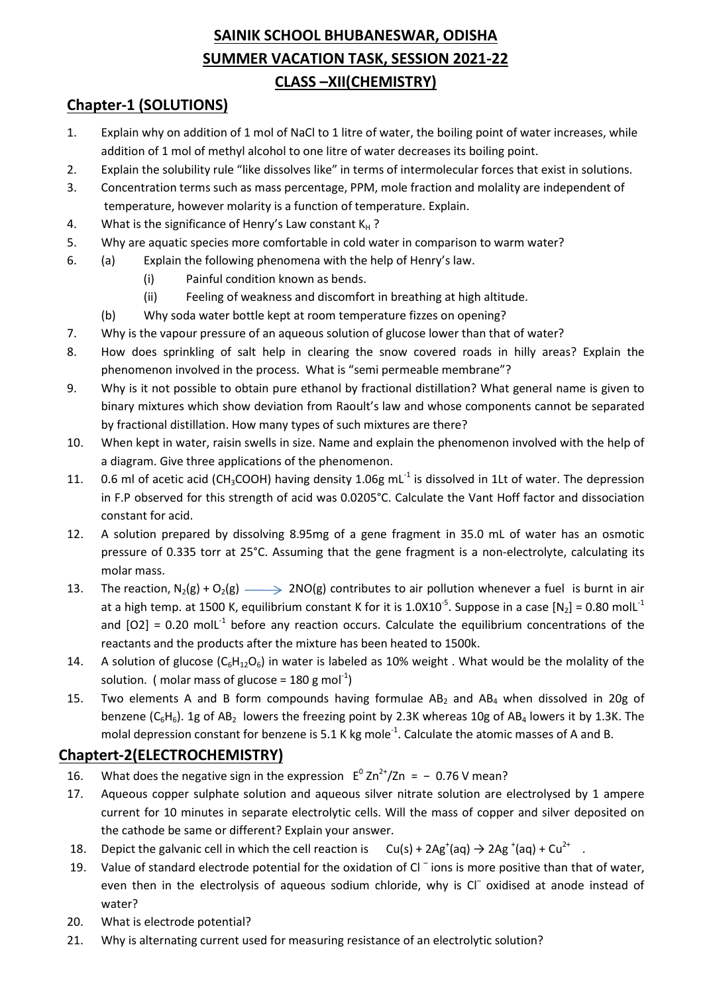## SAINIK SCHOOL BHUBANESWAR, ODISHA SUMMER VACATION TASK, SESSION 2021-22 CLASS –XII(CHEMISTRY)

### Chapter-1 (SOLUTIONS)

- 1. Explain why on addition of 1 mol of NaCl to 1 litre of water, the boiling point of water increases, while addition of 1 mol of methyl alcohol to one litre of water decreases its boiling point.
- 2. Explain the solubility rule "like dissolves like" in terms of intermolecular forces that exist in solutions.
- 3. Concentration terms such as mass percentage, PPM, mole fraction and molality are independent of temperature, however molarity is a function of temperature. Explain.
- 4. What is the significance of Henry's Law constant  $K_H$ ?
- 5. Why are aquatic species more comfortable in cold water in comparison to warm water?
- 6. (a) Explain the following phenomena with the help of Henry's law.
	- (i) Painful condition known as bends.
	- (ii) Feeling of weakness and discomfort in breathing at high altitude.
	- (b) Why soda water bottle kept at room temperature fizzes on opening?
- 7. Why is the vapour pressure of an aqueous solution of glucose lower than that of water?
- 8. How does sprinkling of salt help in clearing the snow covered roads in hilly areas? Explain the phenomenon involved in the process. What is "semi permeable membrane"?
- 9. Why is it not possible to obtain pure ethanol by fractional distillation? What general name is given to binary mixtures which show deviation from Raoult's law and whose components cannot be separated by fractional distillation. How many types of such mixtures are there?
- 10. When kept in water, raisin swells in size. Name and explain the phenomenon involved with the help of a diagram. Give three applications of the phenomenon.
- 11. 0.6 ml of acetic acid (CH<sub>3</sub>COOH) having density 1.06g mL<sup>-1</sup> is dissolved in 1Lt of water. The depression in F.P observed for this strength of acid was 0.0205°C. Calculate the Vant Hoff factor and dissociation constant for acid.
- 12. A solution prepared by dissolving 8.95mg of a gene fragment in 35.0 mL of water has an osmotic pressure of 0.335 torr at 25°C. Assuming that the gene fragment is a non-electrolyte, calculating its molar mass.
- 13. The reaction,  $N_2(g) + O_2(g) \longrightarrow 2NO(g)$  contributes to air pollution whenever a fuel is burnt in air at a high temp. at 1500 K, equilibrium constant K for it is 1.0X10<sup>-5</sup>. Suppose in a case  $[N_2] = 0.80$  moll<sup>-1</sup> and  $[O2] = 0.20$  moll<sup>-1</sup> before any reaction occurs. Calculate the equilibrium concentrations of the reactants and the products after the mixture has been heated to 1500k.
- 14. A solution of glucose  $(C_6H_{12}O_6)$  in water is labeled as 10% weight . What would be the molality of the solution. (molar mass of glucose = 180 g mol<sup>-1</sup>)
- 15. Two elements A and B form compounds having formulae  $AB_2$  and  $AB_4$  when dissolved in 20g of benzene ( $C_6H_6$ ). 1g of AB<sub>2</sub> lowers the freezing point by 2.3K whereas 10g of AB<sub>4</sub> lowers it by 1.3K. The molal depression constant for benzene is 5.1 K kg mole<sup>-1</sup>. Calculate the atomic masses of A and B.

### Chaptert-2(ELECTROCHEMISTRY)

- 16. What does the negative sign in the expression  $E^0 Zn^{2+}/Zn = -0.76 V$  mean?
- 17. Aqueous copper sulphate solution and aqueous silver nitrate solution are electrolysed by 1 ampere current for 10 minutes in separate electrolytic cells. Will the mass of copper and silver deposited on the cathode be same or different? Explain your answer.
- 18. Depict the galvanic cell in which the cell reaction is  $Cu(s) + 2Ag^{+}(aq) \rightarrow 2Ag^{+}(aq) + Cu^{2+}$ .
- 19. Value of standard electrode potential for the oxidation of Cl<sup>-</sup>ions is more positive than that of water, even then in the electrolysis of aqueous sodium chloride, why is Cl<sup>-</sup> oxidised at anode instead of water?
	- 20. What is electrode potential?
	- 21. Why is alternating current used for measuring resistance of an electrolytic solution?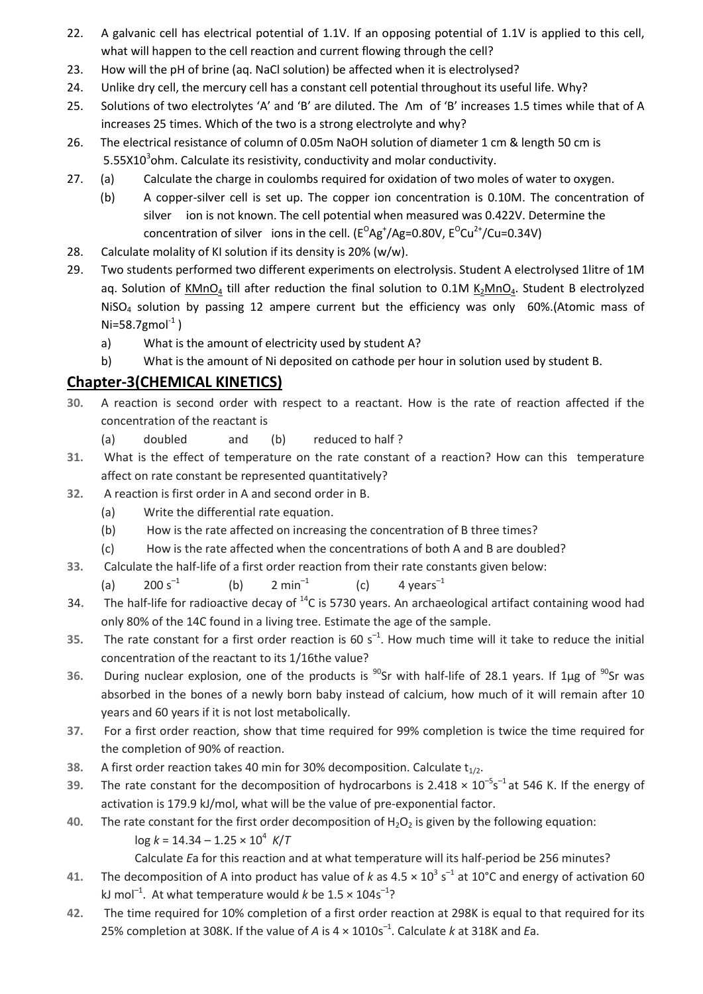- 22. A galvanic cell has electrical potential of 1.1V. If an opposing potential of 1.1V is applied to this cell, what will happen to the cell reaction and current flowing through the cell?
- 23. How will the pH of brine (aq. NaCl solution) be affected when it is electrolysed?
- 24. Unlike dry cell, the mercury cell has a constant cell potential throughout its useful life. Why?
- 25. Solutions of two electrolytes 'A' and 'B' are diluted. The Λm of 'B' increases 1.5 times while that of A increases 25 times. Which of the two is a strong electrolyte and why?
- 26. The electrical resistance of column of 0.05m NaOH solution of diameter 1 cm & length 50 cm is 5.55X10 $3$ ohm. Calculate its resistivity, conductivity and molar conductivity.
- 27. (a) Calculate the charge in coulombs required for oxidation of two moles of water to oxygen.
- (b) A copper-silver cell is set up. The copper ion concentration is 0.10M. The concentration of silver ion is not known. The cell potential when measured was 0.422V. Determine the concentration of silver ions in the cell. ( $E^{O}Ag^{+}/Ag=0.80V$ ,  $E^{O}Cu^{2+}/Cu=0.34V$ )
- 28. Calculate molality of KI solution if its density is 20% (w/w).
- 29. Two students performed two different experiments on electrolysis. Student A electrolysed 1litre of 1M aq. Solution of  $KMnO<sub>4</sub>$  till after reduction the final solution to 0.1M  $K<sub>2</sub>MnO<sub>4</sub>$ . Student B electrolyzed NiSO<sub>4</sub> solution by passing 12 ampere current but the efficiency was only 60%.(Atomic mass of  $Ni=58.7$ gmol $^{-1}$ )
	- a) What is the amount of electricity used by student A?
	- b) What is the amount of Ni deposited on cathode per hour in solution used by student B.

### Chapter-3(CHEMICAL KINETICS)

- 30. A reaction is second order with respect to a reactant. How is the rate of reaction affected if the concentration of the reactant is
	- (a) doubled and (b) reduced to half ?
- 31. What is the effect of temperature on the rate constant of a reaction? How can this temperature affect on rate constant be represented quantitatively?
- 32. A reaction is first order in A and second order in B.
	- (a) Write the differential rate equation.
	- (b) How is the rate affected on increasing the concentration of B three times?
	- (c) How is the rate affected when the concentrations of both A and B are doubled?
- 33. Calculate the half-life of a first order reaction from their rate constants given below:
	- (a)  $200 s^{-1}$  (b)  $2 \text{ min}^{-1}$  (c)  $4 \text{ years}^{-1}$
- 34. The half-life for radioactive decay of  $^{14}$ C is 5730 years. An archaeological artifact containing wood had only 80% of the 14C found in a living tree. Estimate the age of the sample.
- 35. The rate constant for a first order reaction is 60  $s^{-1}$ . How much time will it take to reduce the initial concentration of the reactant to its 1/16the value?
- 36. During nuclear explosion, one of the products is <sup>90</sup>Sr with half-life of 28.1 years. If 1µg of <sup>90</sup>Sr was absorbed in the bones of a newly born baby instead of calcium, how much of it will remain after 10 years and 60 years if it is not lost metabolically.
- 37. For a first order reaction, show that time required for 99% completion is twice the time required for the completion of 90% of reaction.
- 38. A first order reaction takes 40 min for 30% decomposition. Calculate  $t_{1/2}$ .
- 39. The rate constant for the decomposition of hydrocarbons is 2.418  $\times$  10<sup>-5</sup>s<sup>-1</sup> at 546 K. If the energy of activation is 179.9 kJ/mol, what will be the value of pre-exponential factor.
	- 40. The rate constant for the first order decomposition of  $H_2O_2$  is given by the following equation:  $log k = 14.34 - 1.25 \times 10^4$  K/T

Calculate Ea for this reaction and at what temperature will its half-period be 256 minutes?

- 41. The decomposition of A into product has value of k as  $4.5 \times 10^3$  s<sup>-1</sup> at 10°C and energy of activation 60 kJ mol<sup>-1</sup>. At what temperature would k be  $1.5 \times 104s^{-1}$ ?
	- 42. The time required for 10% completion of a first order reaction at 298K is equal to that required for its 25% completion at 308K. If the value of A is  $4 \times 1010s^{-1}$ . Calculate k at 318K and Ea.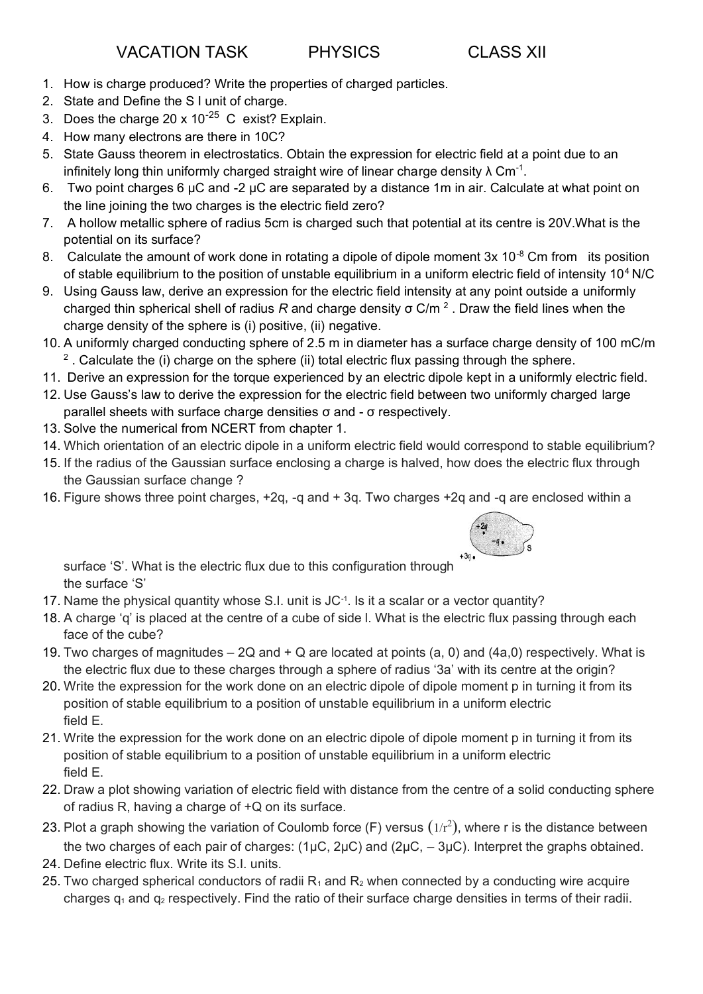- 1. How is charge produced? Write the properties of charged particles.
- 2. State and Define the S I unit of charge.
- 3. Does the charge 20 x  $10^{-25}$  C exist? Explain.
- 4. How many electrons are there in 10C?
- 5. State Gauss theorem in electrostatics. Obtain the expression for electric field at a point due to an infinitely long thin uniformly charged straight wire of linear charge density  $\lambda$  Cm<sup>-1</sup>.
- 6. Two point charges 6 µC and -2 µC are separated by a distance 1m in air. Calculate at what point on the line joining the two charges is the electric field zero?
- 7. A hollow metallic sphere of radius 5cm is charged such that potential at its centre is 20V.What is the potential on its surface?
- 8. Calculate the amount of work done in rotating a dipole of dipole moment  $3x$  10<sup>-8</sup> Cm from its position of stable equilibrium to the position of unstable equilibrium in a uniform electric field of intensity 10<sup>4</sup>N/C
- 9. Using Gauss law, derive an expression for the electric field intensity at any point outside a uniformly charged thin spherical shell of radius *R* and charge density σ C/m <sup>2</sup> . Draw the field lines when the charge density of the sphere is (i) positive, (ii) negative.
- 10. A uniformly charged conducting sphere of 2.5 m in diameter has a surface charge density of 100 mC/m <sup>2</sup>. Calculate the (i) charge on the sphere (ii) total electric flux passing through the sphere.
- 11. Derive an expression for the torque experienced by an electric dipole kept in a uniformly electric field.
- 12. Use Gauss's law to derive the expression for the electric field between two uniformly charged large parallel sheets with surface charge densities σ and - σ respectively.
- 13. Solve the numerical from NCERT from chapter 1.
- 14. Which orientation of an electric dipole in a uniform electric field would correspond to stable equilibrium?
- 15. If the radius of the Gaussian surface enclosing a charge is halved, how does the electric flux through the Gaussian surface change ?
- 16. Figure shows three point charges, +2q, -q and + 3q. Two charges +2q and -q are enclosed within a



surface 'S'. What is the electric flux due to this configuration through the surface 'S'

- 17. Name the physical quantity whose S.I. unit is JC-1. Is it a scalar or a vector quantity?
- 18. A charge 'q' is placed at the centre of a cube of side l. What is the electric flux passing through each face of the cube?
- 19. Two charges of magnitudes  $-2Q$  and  $+Q$  are located at points (a, 0) and (4a,0) respectively. What is the electric flux due to these charges through a sphere of radius '3a' with its centre at the origin?
- 20. Write the expression for the work done on an electric dipole of dipole moment p in turning it from its position of stable equilibrium to a position of unstable equilibrium in a uniform electric field E.
- 21. Write the expression for the work done on an electric dipole of dipole moment p in turning it from its position of stable equilibrium to a position of unstable equilibrium in a uniform electric field E.
- 22. Draw a plot showing variation of electric field with distance from the centre of a solid conducting sphere of radius R, having a charge of +Q on its surface.
- 23. Plot a graph showing the variation of Coulomb force (F) versus  $(1/r^2)$ , where r is the distance between the two charges of each pair of charges:  $(1\mu C, 2\mu C)$  and  $(2\mu C, -3\mu C)$ . Interpret the graphs obtained.
- 24. Define electric flux. Write its S.I. units.
- 25. Two charged spherical conductors of radii  $R_1$  and  $R_2$  when connected by a conducting wire acquire charges  $q_1$  and  $q_2$  respectively. Find the ratio of their surface charge densities in terms of their radii.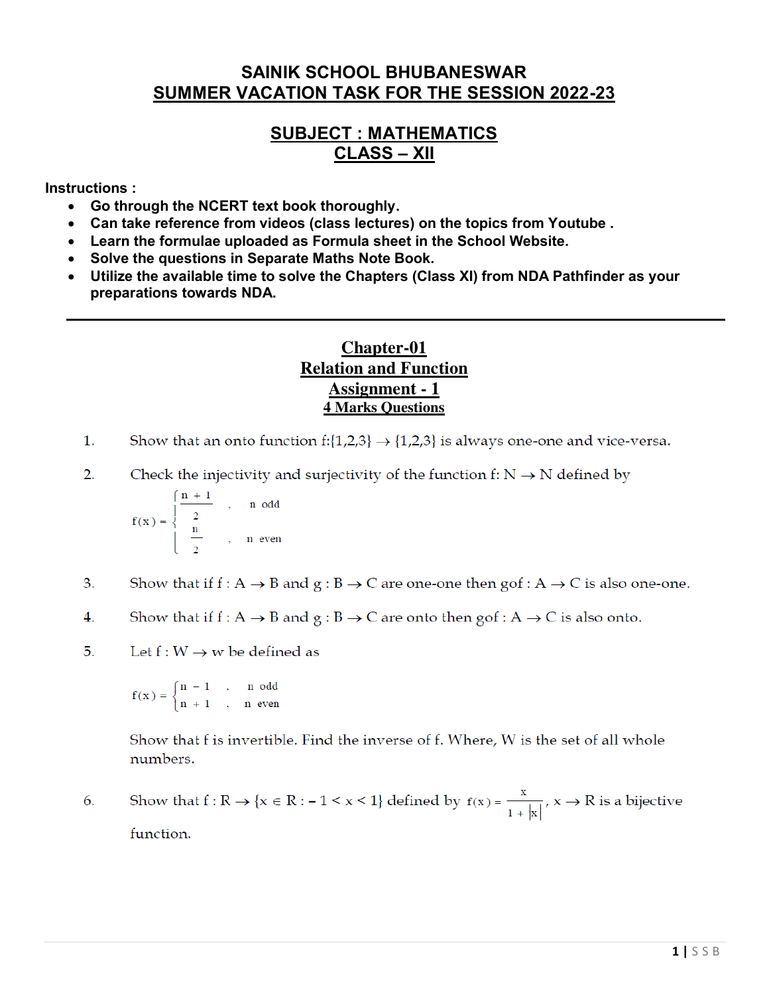### **SAINIK SCHOOL BHUBANESWAR SUMMER VACATION TASK FOR THE SESSION 2022-23**

### **SUBJECT : MATHEMATICS CLASS – XII**

**Instructions :** 

- **Go through the NCERT text book thoroughly.**
- **Can take reference from videos (class lectures) on the topics from Youtube .**
- **Learn the formulae uploaded as Formula sheet in the School Website.**
- **Solve the questions in Separate Maths Note Book.**
- **Utilize the available time to solve the Chapters (Class XI) from NDA Pathfinder as your preparations towards NDA.**

### **Chapter-01 Relation and Function Assignment - 1 4 Marks Questions**

- $\mathbf{1}$ . Show that an onto function  $f:\{1,2,3\} \rightarrow \{1,2,3\}$  is always one-one and vice-versa.
- $2.$ Check the injectivity and surjectivity of the function f:  $N \rightarrow N$  defined by

$$
f(x) = \begin{cases} \frac{n+1}{2} & , n \text{ odd} \\ \frac{n}{2} & , n \text{ even} \end{cases}
$$

- 3. Show that if  $f: A \rightarrow B$  and  $g: B \rightarrow C$  are one-one then  $gof: A \rightarrow C$  is also one-one.
- 4. Show that if  $f : A \rightarrow B$  and  $g : B \rightarrow C$  are onto then  $g \circ f : A \rightarrow C$  is also onto.
- 5. Let  $f: W \rightarrow w$  be defined as

$$
f(x) = \begin{cases} n - 1, & n \text{ odd} \\ n + 1, & n \text{ even} \end{cases}
$$

Show that f is invertible. Find the inverse of f. Where, W is the set of all whole numbers.

Show that  $f: \mathbb{R} \to \{x \in \mathbb{R} : -1 \le x \le 1\}$  defined by  $f(x) = \frac{x}{1 + |x|}, x \to \mathbb{R}$  is a bijective 6. function.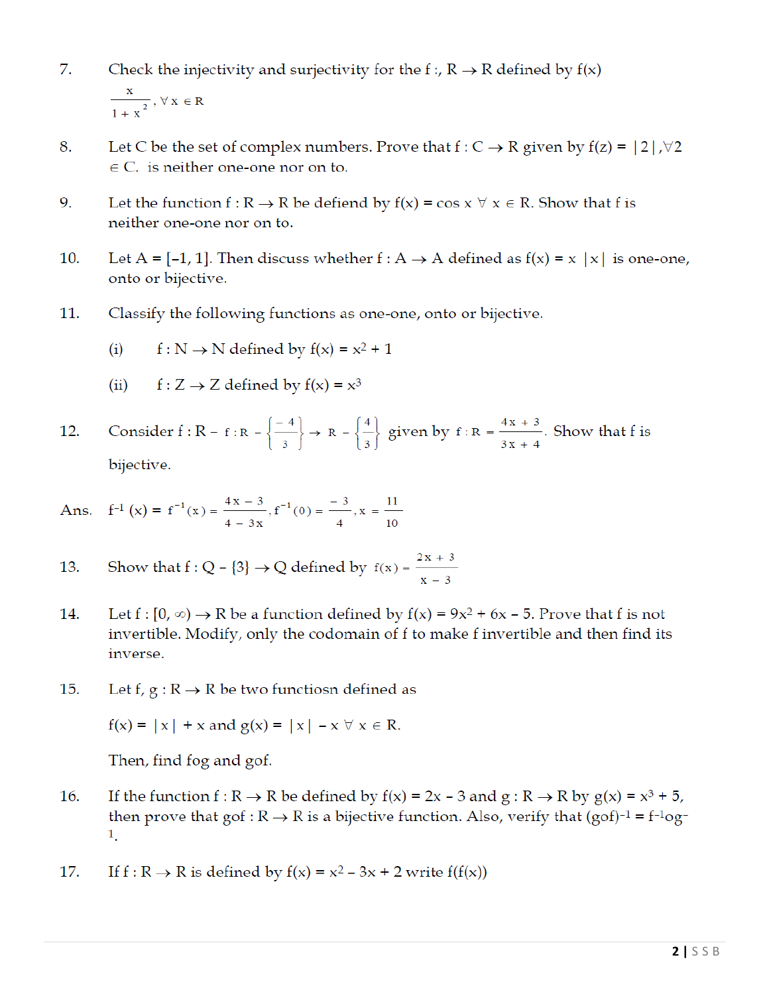- 7. Check the injectivity and surjectivity for the f:,  $R \rightarrow R$  defined by  $f(x)$  $\frac{x}{1+x^2}$ ,  $\forall x \in R$
- Let C be the set of complex numbers. Prove that  $f: C \to R$  given by  $f(z) = |2|, \forall 2$ 8.  $\in$  C. is neither one-one nor on to.
- 9. Let the function  $f: R \to R$  be defiend by  $f(x) = \cos x \ \forall x \in R$ . Show that f is neither one-one nor on to.
- 10. Let A = [-1, 1]. Then discuss whether  $f : A \rightarrow A$  defined as  $f(x) = x |x|$  is one-one, onto or bijective.
- 11. Classify the following functions as one-one, onto or bijective.
	- $f: N \rightarrow N$  defined by  $f(x) = x^2 + 1$  $(i)$
	- $f: Z \rightarrow Z$  defined by  $f(x) = x^3$  $(ii)$

Consider  $f : R - f : R - \left\{\frac{-4}{3}\right\} \to R - \left\{\frac{4}{3}\right\}$  given by  $f : R = \frac{4x + 3}{3x + 4}$ . Show that f is 12. bijective.

Ans. 
$$
f^{-1}(x) = f^{-1}(x) = \frac{4x - 3}{4 - 3x}
$$
,  $f^{-1}(0) = \frac{-3}{4}$ ,  $x = \frac{11}{10}$ 

- Show that  $f: Q \{3\} \rightarrow Q$  defined by  $f(x) = \frac{2x + 3}{x 3}$ 13.
- 14. Let  $f:[0,\infty) \to \mathbb{R}$  be a function defined by  $f(x) = 9x^2 + 6x - 5$ . Prove that f is not invertible. Modify, only the codomain of f to make f invertible and then find its inverse.
- 15. Let f,  $g: R \to R$  be two functiosn defined as

$$
f(x) = |x| + x \text{ and } g(x) = |x| - x \forall x \in \mathbb{R}.
$$

Then, find fog and gof.

- 16. If the function  $f: R \to R$  be defined by  $f(x) = 2x - 3$  and  $g: R \to R$  by  $g(x) = x^3 + 5$ , then prove that gof:  $R \rightarrow R$  is a bijective function. Also, verify that (gof)<sup>-1</sup> = f<sup>-1</sup>og<sup>-</sup>  $\mathbf{1}_{\mathbf{1}}$
- If  $f: R \to R$  is defined by  $f(x) = x^2 3x + 2$  write  $f(f(x))$ 17.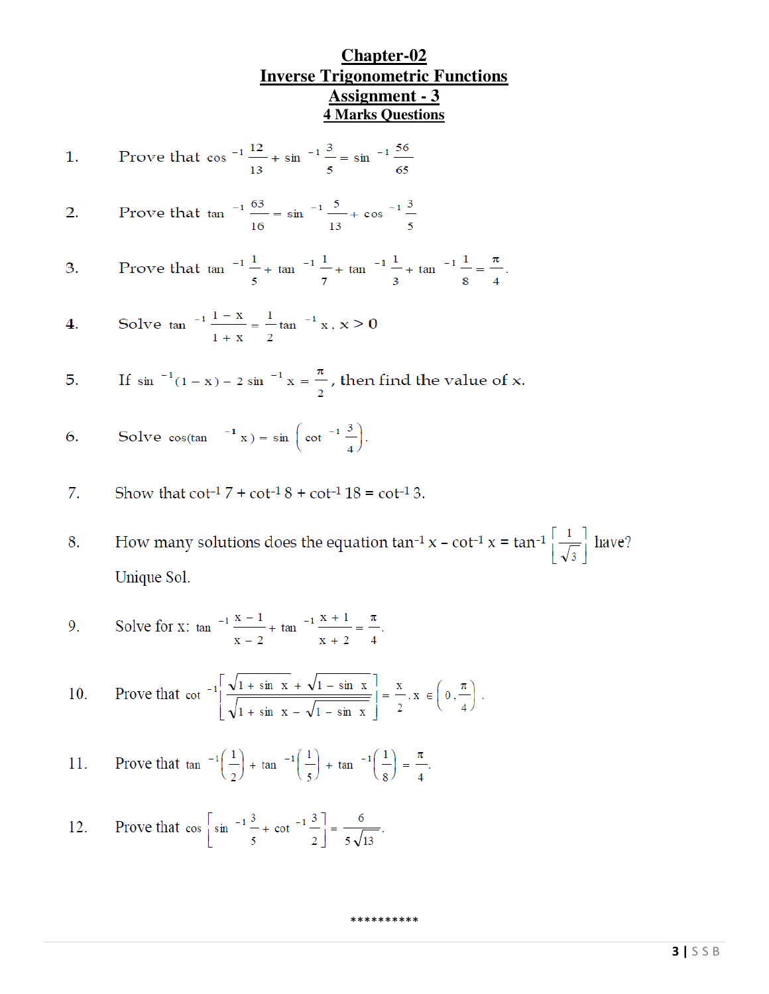### **Chapter-02 Inverse Trigonometric Functions Assignment - 3 4 Marks Questions**

1. Prove that 
$$
\cos^{-1} \frac{12}{13} + \sin^{-1} \frac{3}{5} = \sin^{-1} \frac{56}{65}
$$

2. Prove that 
$$
\tan^{-1} \frac{63}{16} = \sin^{-1} \frac{5}{13} + \cos^{-1} \frac{3}{5}
$$

3. Prove that 
$$
\tan^{-1} \frac{1}{5} + \tan^{-1} \frac{1}{7} + \tan^{-1} \frac{1}{3} + \tan^{-1} \frac{1}{8} = \frac{\pi}{4}
$$
.

4. Solve 
$$
\tan^{-1} \frac{1-x}{1+x} = \frac{1}{2} \tan^{-1} x
$$
,  $x > 0$ 

5. If 
$$
\sin^{-1}(1-x) - 2 \sin^{-1} x = \frac{\pi}{2}
$$
, then find the value of x.

6. Solve 
$$
\cos(\tan^{-1} x) = \sin \left( \cot^{-1} \frac{3}{4} \right)
$$
.

7. Show that 
$$
\cot^{-1} 7 + \cot^{-1} 8 + \cot^{-1} 18 = \cot^{-1} 3
$$
.

How many solutions does the equation  $\tan^{-1} x - \cot^{-1} x = \tan^{-1} \left[ \frac{1}{\sqrt{3}} \right]$  have? 8. Unique Sol.

\*\*\*\*\*\*\*\*\*\*

9. Solve for x: 
$$
\tan^{-1} \frac{x-1}{x-2} + \tan^{-1} \frac{x+1}{x+2} = \frac{\pi}{4}
$$
.

10. Prove that 
$$
\cot^{-1} \left[ \frac{\sqrt{1 + \sin x} + \sqrt{1 - \sin x}}{\sqrt{1 + \sin x} - \sqrt{1 - \sin x}} \right] = \frac{x}{2}, x \in \left( 0, \frac{\pi}{4} \right)
$$
.

11. Prove that 
$$
\tan^{-1}\left(\frac{1}{2}\right) + \tan^{-1}\left(\frac{1}{5}\right) + \tan^{-1}\left(\frac{1}{8}\right) = \frac{\pi}{4}
$$
.

12. Prove that 
$$
\cos \left[\sin^{-1} \frac{3}{5} + \cot^{-1} \frac{3}{2}\right] = \frac{6}{5\sqrt{13}}
$$
.

**3 |** SSB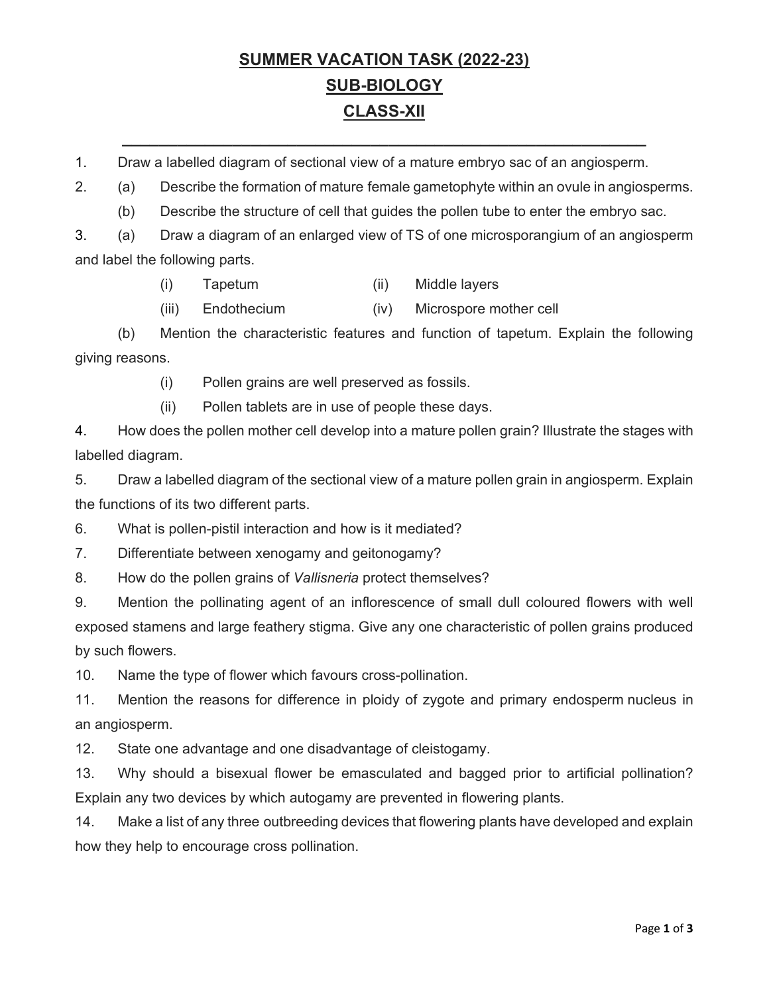# **SUMMER VACATION TASK (2022-23) SUB-BIOLOGY CLASS-XII**

**\_\_\_\_\_\_\_\_\_\_\_\_\_\_\_\_\_\_\_\_\_\_\_\_\_\_\_\_\_\_\_\_\_\_\_\_\_\_\_\_\_\_\_\_\_\_\_\_\_\_\_\_\_\_\_\_\_** 

1. Draw a labelled diagram of sectional view of a mature embryo sac of an angiosperm.

2. (a) Describe the formation of mature female gametophyte within an ovule in angiosperms.

(b) Describe the structure of cell that guides the pollen tube to enter the embryo sac.

3. (a) Draw a diagram of an enlarged view of TS of one microsporangium of an angiosperm and label the following parts.

- (i) Tapetum (ii) Middle layers
- (iii) Endothecium (iv) Microspore mother cell

 (b) Mention the characteristic features and function of tapetum. Explain the following giving reasons.

- (i) Pollen grains are well preserved as fossils.
- (ii) Pollen tablets are in use of people these days.

4. How does the pollen mother cell develop into a mature pollen grain? Illustrate the stages with labelled diagram.

5. Draw a labelled diagram of the sectional view of a mature pollen grain in angiosperm. Explain the functions of its two different parts.

6. What is pollen-pistil interaction and how is it mediated?

7. Differentiate between xenogamy and geitonogamy?

8. How do the pollen grains of *Vallisneria* protect themselves?

9. Mention the pollinating agent of an inflorescence of small dull coloured flowers with well exposed stamens and large feathery stigma. Give any one characteristic of pollen grains produced by such flowers.

10. Name the type of flower which favours cross-pollination.

11. Mention the reasons for difference in ploidy of zygote and primary endosperm nucleus in an angiosperm.

12. State one advantage and one disadvantage of cleistogamy.

13. Why should a bisexual flower be emasculated and bagged prior to artificial pollination? Explain any two devices by which autogamy are prevented in flowering plants.

14. Make a list of any three outbreeding devices that flowering plants have developed and explain how they help to encourage cross pollination.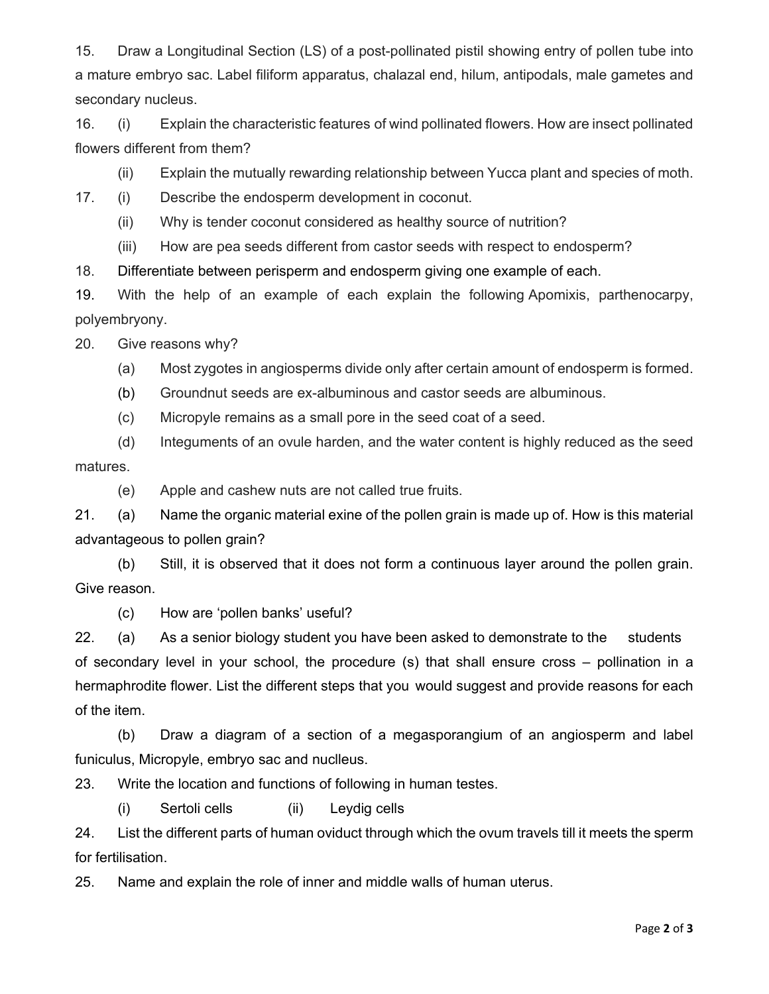15. Draw a Longitudinal Section (LS) of a post-pollinated pistil showing entry of pollen tube into a mature embryo sac. Label filiform apparatus, chalazal end, hilum, antipodals, male gametes and secondary nucleus.

16. (i) Explain the characteristic features of wind pollinated flowers. How are insect pollinated flowers different from them?

(ii) Explain the mutually rewarding relationship between Yucca plant and species of moth.

17. (i) Describe the endosperm development in coconut.

(ii) Why is tender coconut considered as healthy source of nutrition?

(iii) How are pea seeds different from castor seeds with respect to endosperm?

18. Differentiate between perisperm and endosperm giving one example of each.

19. With the help of an example of each explain the following Apomixis, parthenocarpy, polyembryony.

20. Give reasons why?

- (a) Most zygotes in angiosperms divide only after certain amount of endosperm is formed.
- (b) Groundnut seeds are ex-albuminous and castor seeds are albuminous.
- (c) Micropyle remains as a small pore in the seed coat of a seed.

 (d) Integuments of an ovule harden, and the water content is highly reduced as the seed matures.

(e) Apple and cashew nuts are not called true fruits.

21. (a) Name the organic material exine of the pollen grain is made up of. How is this material advantageous to pollen grain?

 (b) Still, it is observed that it does not form a continuous layer around the pollen grain. Give reason.

(c) How are 'pollen banks' useful?

22. (a) As a senior biology student you have been asked to demonstrate to the students of secondary level in your school, the procedure (s) that shall ensure cross – pollination in a hermaphrodite flower. List the different steps that you would suggest and provide reasons for each of the item.

 (b) Draw a diagram of a section of a megasporangium of an angiosperm and label funiculus, Micropyle, embryo sac and nuclleus.

23. Write the location and functions of following in human testes.

(i) Sertoli cells (ii) Leydig cells

24. List the different parts of human oviduct through which the ovum travels till it meets the sperm for fertilisation.

25. Name and explain the role of inner and middle walls of human uterus.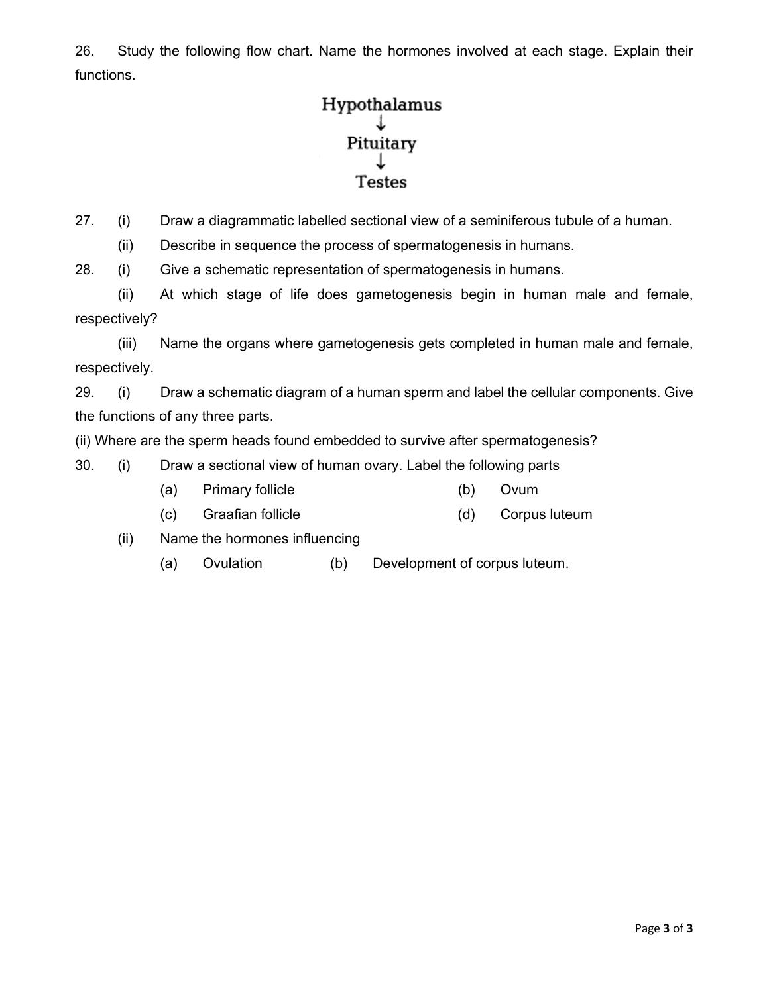26. Study the following flow chart. Name the hormones involved at each stage. Explain their functions.

# Hypothalamus Pituitary **Testes**

27. (i) Draw a diagrammatic labelled sectional view of a seminiferous tubule of a human.

(ii) Describe in sequence the process of spermatogenesis in humans.

28. (i) Give a schematic representation of spermatogenesis in humans.

 (ii) At which stage of life does gametogenesis begin in human male and female, respectively?

 (iii) Name the organs where gametogenesis gets completed in human male and female, respectively.

29. (i) Draw a schematic diagram of a human sperm and label the cellular components. Give the functions of any three parts.

(ii) Where are the sperm heads found embedded to survive after spermatogenesis?

- 30. (i) Draw a sectional view of human ovary. Label the following parts
	- (a) Primary follicle (b) Ovum
	- (c) Graafian follicle (d) Corpus luteum
	- (ii) Name the hormones influencing
		- (a) Ovulation (b) Development of corpus luteum.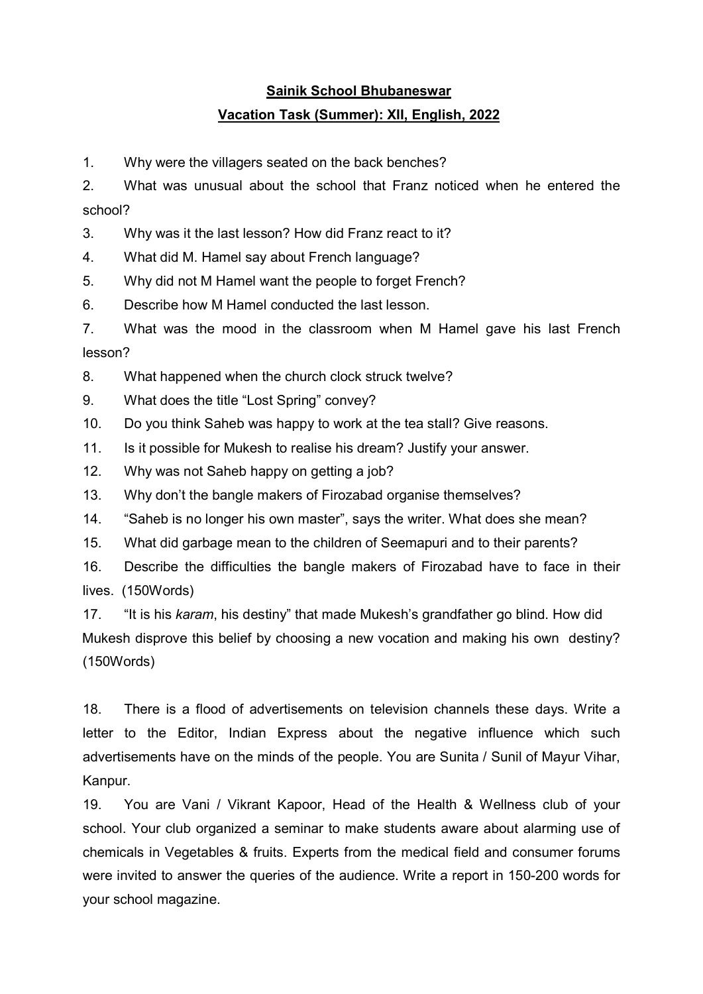### Sainik School Bhubaneswar Vacation Task (Summer): XII, English, 2022

1. Why were the villagers seated on the back benches?

2. What was unusual about the school that Franz noticed when he entered the school?

3. Why was it the last lesson? How did Franz react to it?

4. What did M. Hamel say about French language?

5. Why did not M Hamel want the people to forget French?

6. Describe how M Hamel conducted the last lesson.

7. What was the mood in the classroom when M Hamel gave his last French lesson?

8. What happened when the church clock struck twelve?

9. What does the title "Lost Spring" convey?

10. Do you think Saheb was happy to work at the tea stall? Give reasons.

11. Is it possible for Mukesh to realise his dream? Justify your answer.

12. Why was not Saheb happy on getting a job?

13. Why don't the bangle makers of Firozabad organise themselves?

14. "Saheb is no longer his own master", says the writer. What does she mean?

15. What did garbage mean to the children of Seemapuri and to their parents?

16. Describe the difficulties the bangle makers of Firozabad have to face in their lives. (150Words)

17. "It is his karam, his destiny" that made Mukesh's grandfather go blind. How did Mukesh disprove this belief by choosing a new vocation and making his own destiny? (150Words)

18. There is a flood of advertisements on television channels these days. Write a letter to the Editor, Indian Express about the negative influence which such advertisements have on the minds of the people. You are Sunita / Sunil of Mayur Vihar, Kanpur.

19. You are Vani / Vikrant Kapoor, Head of the Health & Wellness club of your school. Your club organized a seminar to make students aware about alarming use of chemicals in Vegetables & fruits. Experts from the medical field and consumer forums were invited to answer the queries of the audience. Write a report in 150-200 words for your school magazine.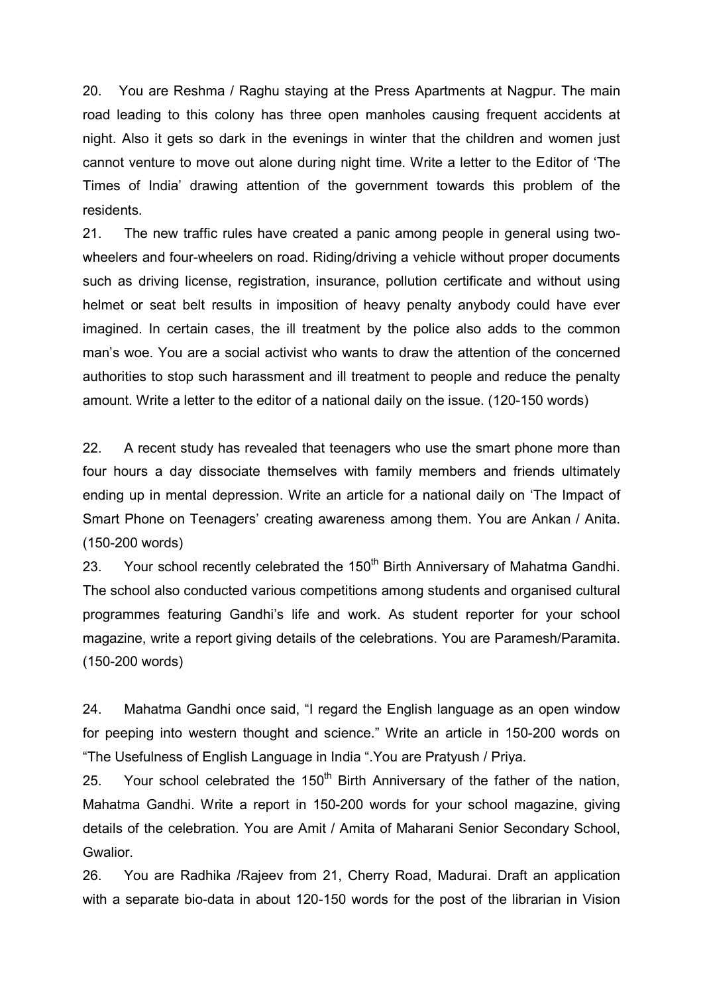20. You are Reshma / Raghu staying at the Press Apartments at Nagpur. The main road leading to this colony has three open manholes causing frequent accidents at night. Also it gets so dark in the evenings in winter that the children and women just cannot venture to move out alone during night time. Write a letter to the Editor of 'The Times of India' drawing attention of the government towards this problem of the residents.

21. The new traffic rules have created a panic among people in general using twowheelers and four-wheelers on road. Riding/driving a vehicle without proper documents such as driving license, registration, insurance, pollution certificate and without using helmet or seat belt results in imposition of heavy penalty anybody could have ever imagined. In certain cases, the ill treatment by the police also adds to the common man's woe. You are a social activist who wants to draw the attention of the concerned authorities to stop such harassment and ill treatment to people and reduce the penalty amount. Write a letter to the editor of a national daily on the issue. (120-150 words)

22. A recent study has revealed that teenagers who use the smart phone more than four hours a day dissociate themselves with family members and friends ultimately ending up in mental depression. Write an article for a national daily on 'The Impact of Smart Phone on Teenagers' creating awareness among them. You are Ankan / Anita. (150-200 words)

23. Your school recently celebrated the 150<sup>th</sup> Birth Anniversary of Mahatma Gandhi. The school also conducted various competitions among students and organised cultural programmes featuring Gandhi's life and work. As student reporter for your school magazine, write a report giving details of the celebrations. You are Paramesh/Paramita. (150-200 words)

24. Mahatma Gandhi once said, "I regard the English language as an open window for peeping into western thought and science." Write an article in 150-200 words on "The Usefulness of English Language in India ".You are Pratyush / Priya.

25. Your school celebrated the  $150<sup>th</sup>$  Birth Anniversary of the father of the nation, Mahatma Gandhi. Write a report in 150-200 words for your school magazine, giving details of the celebration. You are Amit / Amita of Maharani Senior Secondary School, Gwalior.

26. You are Radhika /Rajeev from 21, Cherry Road, Madurai. Draft an application with a separate bio-data in about 120-150 words for the post of the librarian in Vision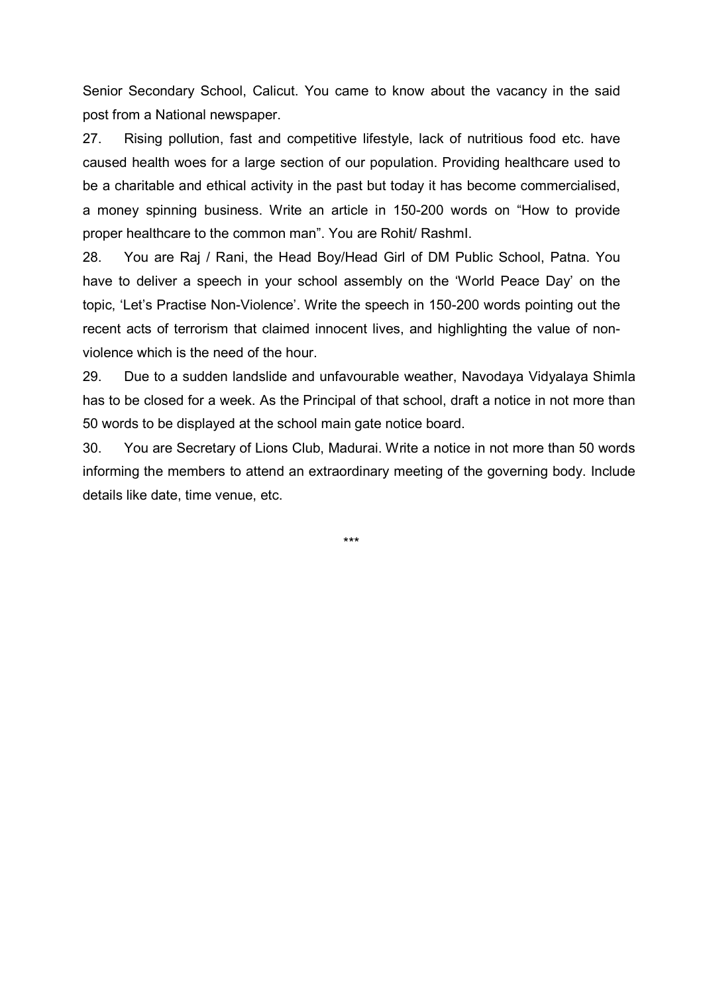Senior Secondary School, Calicut. You came to know about the vacancy in the said post from a National newspaper.

27. Rising pollution, fast and competitive lifestyle, lack of nutritious food etc. have caused health woes for a large section of our population. Providing healthcare used to be a charitable and ethical activity in the past but today it has become commercialised, a money spinning business. Write an article in 150-200 words on "How to provide proper healthcare to the common man". You are Rohit/ RashmI.

28. You are Raj / Rani, the Head Boy/Head Girl of DM Public School, Patna. You have to deliver a speech in your school assembly on the 'World Peace Day' on the topic, 'Let's Practise Non-Violence'. Write the speech in 150-200 words pointing out the recent acts of terrorism that claimed innocent lives, and highlighting the value of nonviolence which is the need of the hour.

29. Due to a sudden landslide and unfavourable weather, Navodaya Vidyalaya Shimla has to be closed for a week. As the Principal of that school, draft a notice in not more than 50 words to be displayed at the school main gate notice board.

30. You are Secretary of Lions Club, Madurai. Write a notice in not more than 50 words informing the members to attend an extraordinary meeting of the governing body. Include details like date, time venue, etc.

\*\*\*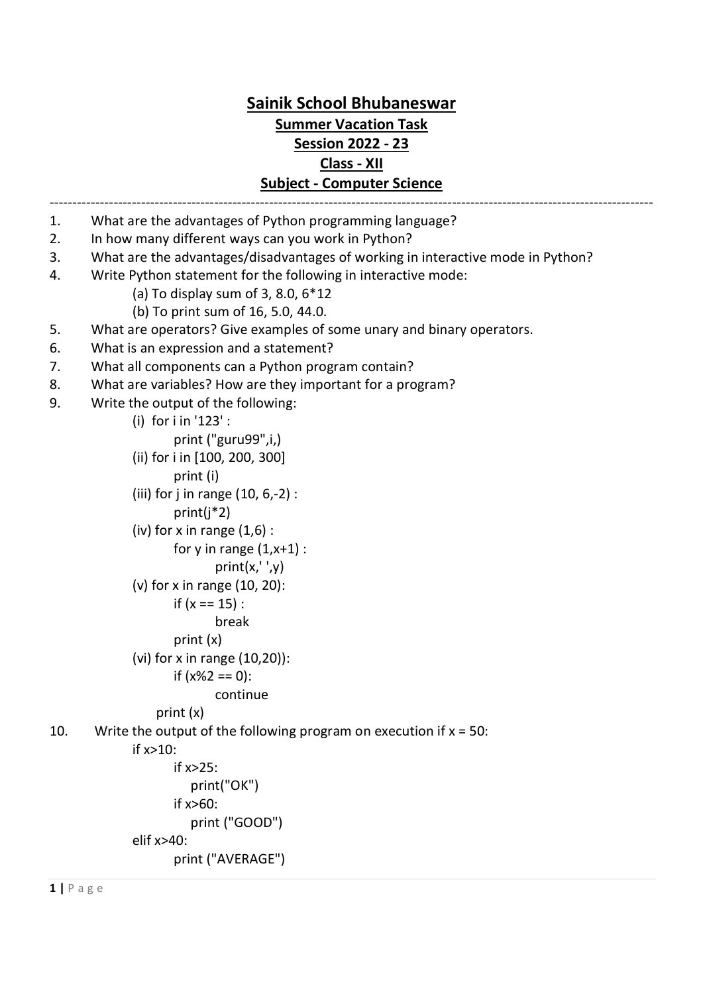### Sainik School Bhubaneswar Summer Vacation Task Session 2022 - 23 Class - XII Subject - Computer Science

- ------------------------------------------------------------------------------------------------------------------------------------ 1. What are the advantages of Python programming language?
- 2. In how many different ways can you work in Python?
- 3. What are the advantages/disadvantages of working in interactive mode in Python?
- 4. Write Python statement for the following in interactive mode:
	- (a) To display sum of 3, 8.0, 6\*12
	- (b) To print sum of 16, 5.0, 44.0.
- 5. What are operators? Give examples of some unary and binary operators.
- 6. What is an expression and a statement?
- 7. What all components can a Python program contain?
- 8. What are variables? How are they important for a program?
- 9. Write the output of the following:

```
 (i) for i in '123' : 
        print ("guru99",i,) 
(ii) for i in [100, 200, 300]
```

```
 print (i)
```
- (iii) for j in range (10, 6,-2) :
	- print(j\*2)
- (iv) for x in range  $(1,6)$ :

```
for y in range (1, x+1):
```

```
print(x,'',y)
```

```
 (v) for x in range (10, 20):
```

```
if (x == 15):
```

```
 break
```

```
 print (x)
```

```
 (vi) for x in range (10,20)):
```
if (x%2 == 0):

```
 continue
```

```
 print (x)
```
10. Write the output of the following program on execution if  $x = 50$ :

```
 if x>10:
```

```
 if x>25: 
           print("OK") 
        if x>60: 
           print ("GOOD") 
elif x>40: 
        print ("AVERAGE")
```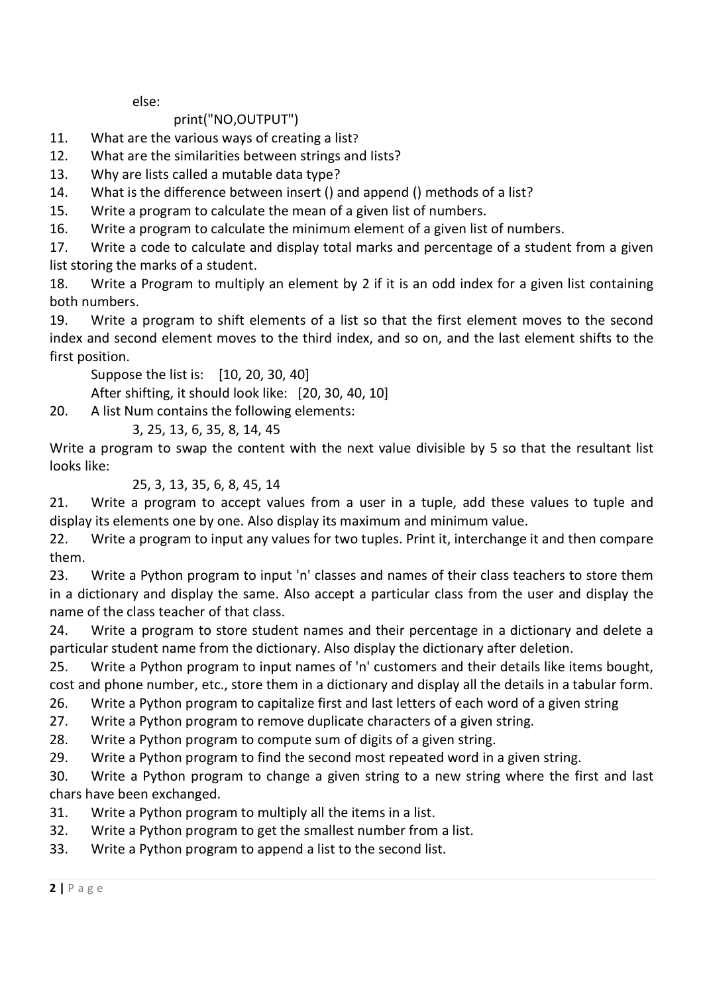else:

### print("NO,OUTPUT")

- 11. What are the various ways of creating a list?
- 12. What are the similarities between strings and Iists?
- 13. Why are lists called a mutable data type?
- 14. What is the difference between insert () and append () methods of a list?
- 15. Write a program to calculate the mean of a given list of numbers.
- 16. Write a program to calculate the minimum element of a given list of numbers.

17. Write a code to calculate and display total marks and percentage of a student from a given list storing the marks of a student.

18. Write a Program to multiply an element by 2 if it is an odd index for a given list containing both numbers.

19. Write a program to shift elements of a list so that the first element moves to the second index and second element moves to the third index, and so on, and the last element shifts to the first position.

Suppose the list is: [10, 20, 30, 40]

After shifting, it should look like: [20, 30, 40, 10]

20. A list Num contains the following elements:

#### 3, 25, 13, 6, 35, 8, 14, 45

Write a program to swap the content with the next value divisible by 5 so that the resultant list looks like:

### 25, 3, 13, 35, 6, 8, 45, 14

21. Write a program to accept values from a user in a tuple, add these values to tuple and display its elements one by one. Also display its maximum and minimum value.

22. Write a program to input any values for two tuples. Print it, interchange it and then compare them.

23. Write a Python program to input 'n' classes and names of their class teachers to store them in a dictionary and display the same. Also accept a particular class from the user and display the name of the class teacher of that class.

24. Write a program to store student names and their percentage in a dictionary and delete a particular student name from the dictionary. Also display the dictionary after deletion.

25. Write a Python program to input names of 'n' customers and their details like items bought, cost and phone number, etc., store them in a dictionary and display all the details in a tabular form.

26. Write a Python program to capitalize first and last letters of each word of a given string

27. Write a Python program to remove duplicate characters of a given string.

28. Write a Python program to compute sum of digits of a given string.

29. Write a Python program to find the second most repeated word in a given string.

30. Write a Python program to change a given string to a new string where the first and last chars have been exchanged.

31. Write a Python program to multiply all the items in a list.

32. Write a Python program to get the smallest number from a list.

33. Write a Python program to append a list to the second list.